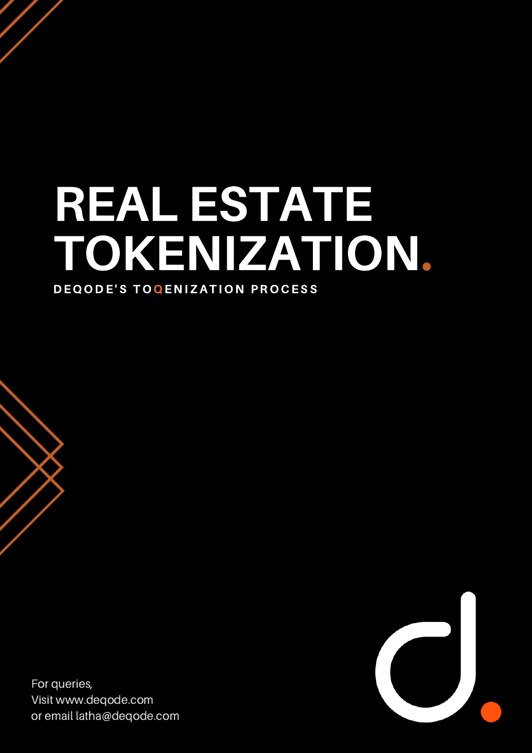### REAL ESTATE TOKENIZATION. DEQODE'S TOQENIZATION PROCESS

For queries, Visit www.deqode.com or email latha@deqode.com

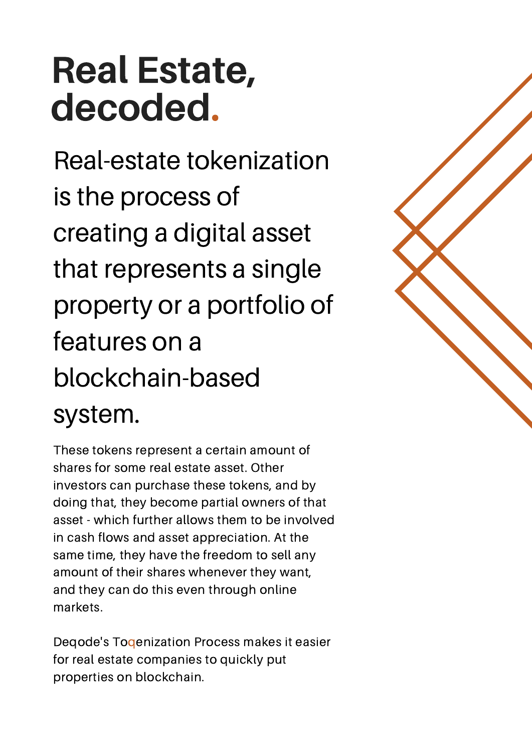## Real Estate, decoded.

Real-estate tokenization is the process of creating a digital asset that represents a single property or a portfolio of features on a blockchain-based system.

These tokens represent a certain amount of shares for some real estate asset. Other investors can purchase these tokens, and by doing that, they become partial owners of that asset - which further allows them to be involved in cash flows and asset appreciation. At the same time, they have the freedom to sell any amount of their shares whenever they want, and they can do this even through online markets.

Deqode's Toqenization Process makes it easier for real estate companies to quickly put properties on blockchain.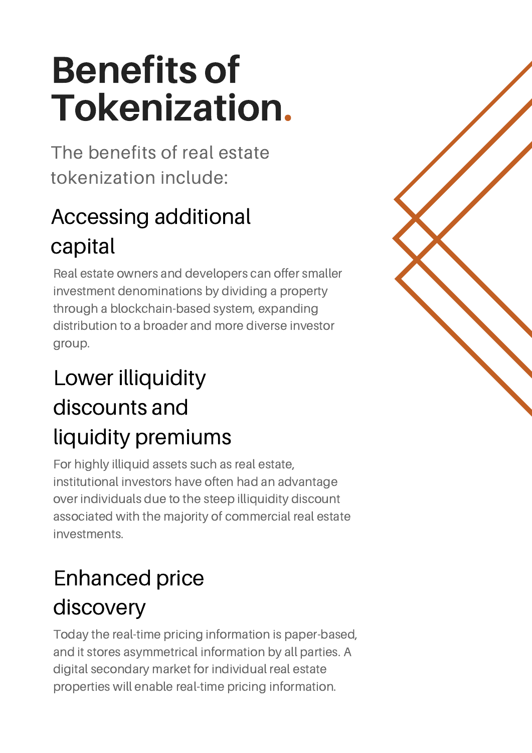# Benefits of Tokenization.

The benefits of real estate tokenization include:

### Accessing additional capital

Real estate owners and developers can offer smaller investment denominations by dividing a property through a blockchain-based system, expanding distribution to a broader and more diverse investor group.

### Lower illiquidity discounts and liquidity premiums

For highly illiquid assets such as real estate, institutional investors have often had an advantage over individuals due to the steep illiquidity discount associated with the majority of commercial real estate investments.

### Enhanced price discovery

Today the real-time pricing information is paper-based, and it stores asymmetrical information by all parties. A digital secondary market for individual real estate properties will enable real-time pricing information.

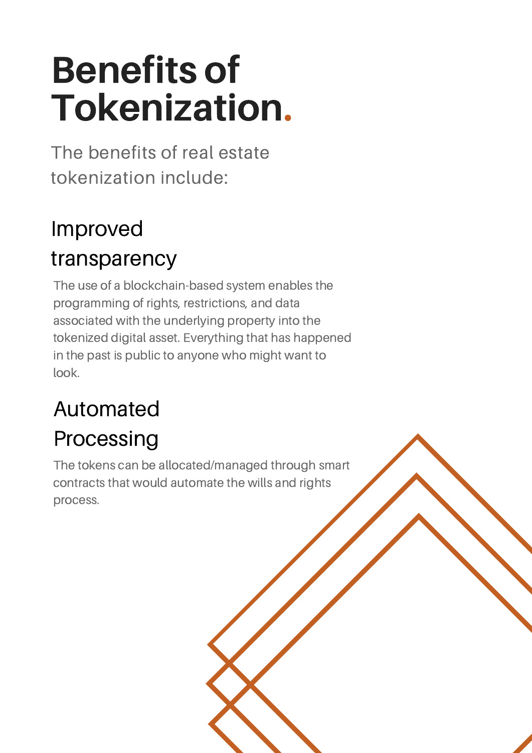# Benefits of Tokenization.

The benefits of real estate tokenization include:

#### Improved transparency

The use of a blockchain-based system enables the programming of rights, restrictions, and data associated with the underlying property into the tokenized digital asset. Everything that has happened in the past is public to anyone who might want to look.

### Automated

### Processing

The tokens can be allocated/managed through smart contracts that would automate the wills and rights process.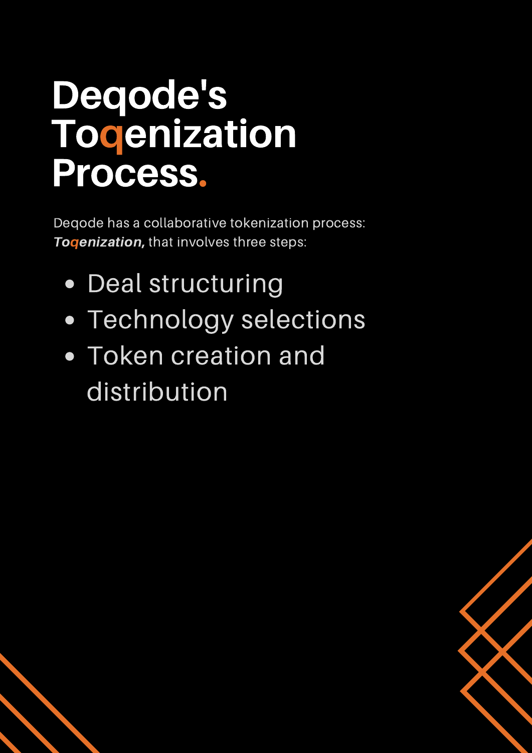## Deqode's **Todenization** Process.

Deqode has a collaborative tokenization process: **Togenization, that involves three steps:** 

- Deal structuring
- Technology selections
- Token creation and distribution

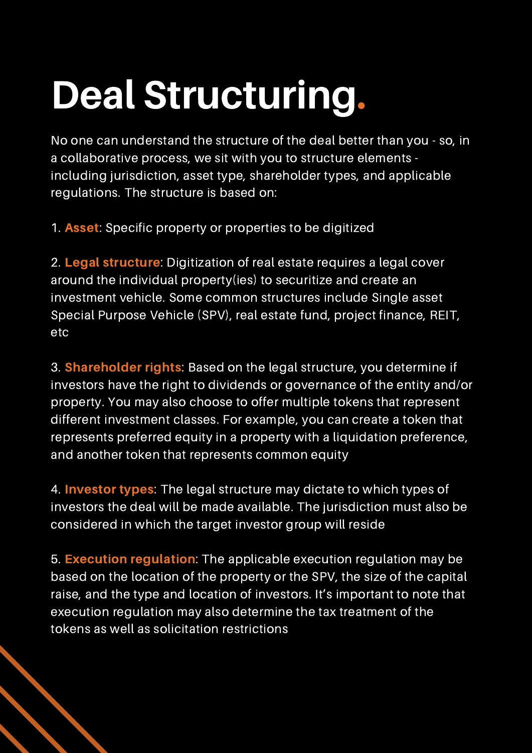# Deal Structuring.

No one can understand the structure of the deal better than you - so, in a collaborative process, we sit with you to structure elements including jurisdiction, asset type, shareholder types, and applicable regulations. The structure is based on:

1. Asset: Specific property or properties to be digitized

2. Legal structure: Digitization of real estate requires a legal cover around the individual property(ies) to securitize and create an investment vehicle. Some common structures include Single asset Special Purpose Vehicle (SPV), real estate fund, project finance, REIT, etc

3. **Shareholder rights:** Based on the legal structure, you determine if investors have the right to dividends or governance of the entity and/or property. You may also choose to offer multiple tokens that represent different investment classes. For example, you can create a token that represents preferred equity in a property with a liquidation preference, and another token that represents common equity

4. **Investor types:** The legal structure may dictate to which types of investors the deal will be made available. The jurisdiction must also be considered in which the target investor group will reside

5. Execution regulation: The applicable execution regulation may be based on the location of the property or the SPV, the size of the capital raise, and the type and location of investors. It's important to note that execution regulation may also determine the tax treatment of the tokens as well as solicitation restrictions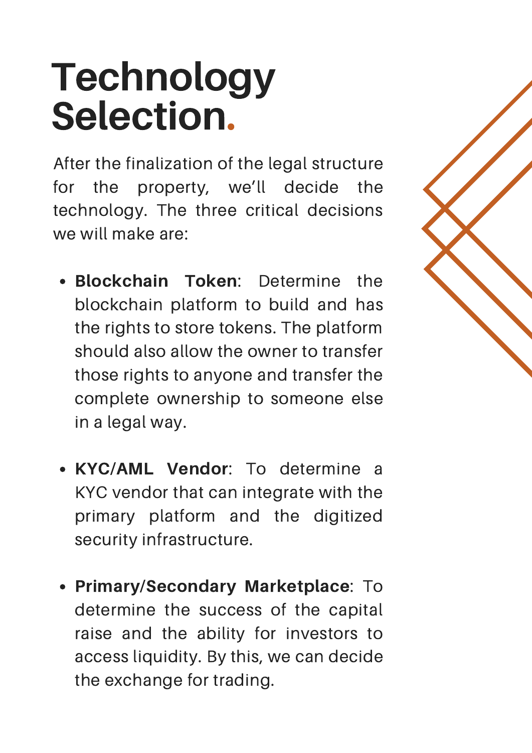# Technology Selection.

After the finalization of the legal structure for the property, we'll decide the technology. The three critical decisions we will make are:

- Blockchain Token: Determine the blockchain platform to build and has the rights to store tokens. The platform should also allow the owner to transfer those rights to anyone and transfer the complete ownership to someone else in a legal way.
- KYC/AML Vendor: To determine a KYC vendor that can integrate with the primary platform and the digitized security infrastructure.
- Primary/Secondary Marketplace: To determine the success of the capital raise and the ability for investors to access liquidity. By this, we can decide the exchange for trading.

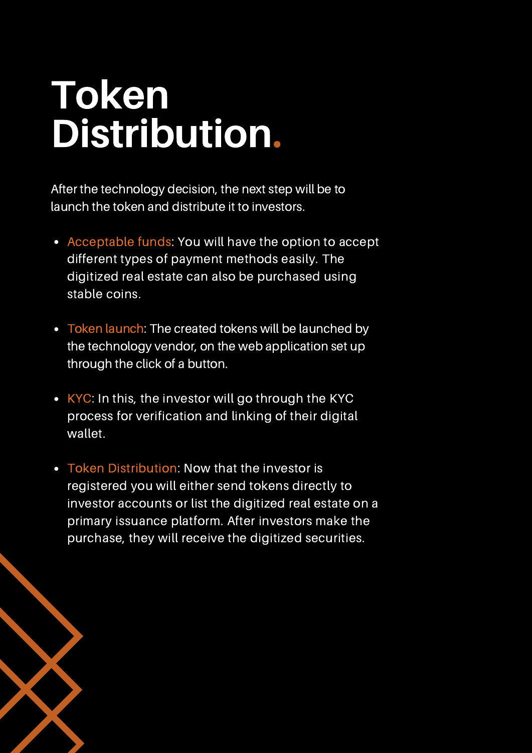## Token Distribution.

After the technology decision, the next step will be to launch the token and distribute it to investors.

- Acceptable funds: You will have the option to accept different types of payment methods easily. The digitized real estate can also be purchased using stable coins.
- Token launch: The created tokens will be launched by the technology vendor, on the web application set up through the click of a button.
- $\cdot$  KYC: In this, the investor will go through the KYC process for verification and linking of their digital wallet.
- Token Distribution: Now that the investor is registered you will either send tokens directly to investor accounts or list the digitized real estate on a primary issuance platform. After investors make the purchase, they will receive the digitized securities.